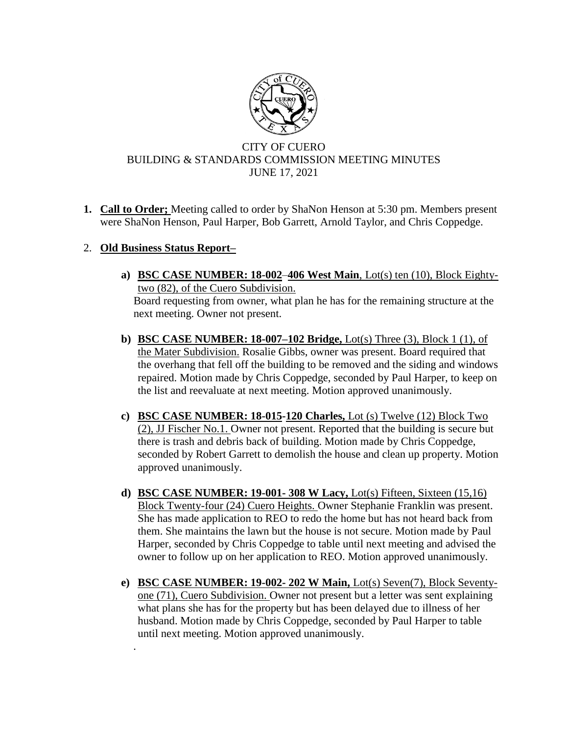

## CITY OF CUERO BUILDING & STANDARDS COMMISSION MEETING MINUTES JUNE 17, 2021

**1. Call to Order;** Meeting called to order by ShaNon Henson at 5:30 pm. Members present were ShaNon Henson, Paul Harper, Bob Garrett, Arnold Taylor, and Chris Coppedge.

## 2. **Old Business Status Report–**

*.*

- **a) BSC CASE NUMBER: 18-002**–**406 West Main**, Lot(s) ten (10), Block Eightytwo (82), of the Cuero Subdivision. Board requesting from owner, what plan he has for the remaining structure at the next meeting. Owner not present.
- **b) BSC CASE NUMBER: 18-007–102 Bridge,** Lot(s) Three (3), Block 1 (1), of the Mater Subdivision. Rosalie Gibbs, owner was present. Board required that the overhang that fell off the building to be removed and the siding and windows repaired. Motion made by Chris Coppedge, seconded by Paul Harper, to keep on the list and reevaluate at next meeting. Motion approved unanimously.
- **c) BSC CASE NUMBER: 18-015-120 Charles,** Lot (s) Twelve (12) Block Two (2), JJ Fischer No.1. Owner not present. Reported that the building is secure but there is trash and debris back of building. Motion made by Chris Coppedge, seconded by Robert Garrett to demolish the house and clean up property. Motion approved unanimously.
- **d) BSC CASE NUMBER: 19-001- 308 W Lacy,** Lot(s) Fifteen, Sixteen (15,16) Block Twenty-four (24) Cuero Heights. Owner Stephanie Franklin was present. She has made application to REO to redo the home but has not heard back from them. She maintains the lawn but the house is not secure. Motion made by Paul Harper, seconded by Chris Coppedge to table until next meeting and advised the owner to follow up on her application to REO. Motion approved unanimously.
- **e) BSC CASE NUMBER: 19-002- 202 W Main,** Lot(s) Seven(7), Block Seventyone (71), Cuero Subdivision. Owner not present but a letter was sent explaining what plans she has for the property but has been delayed due to illness of her husband. Motion made by Chris Coppedge, seconded by Paul Harper to table until next meeting. Motion approved unanimously.